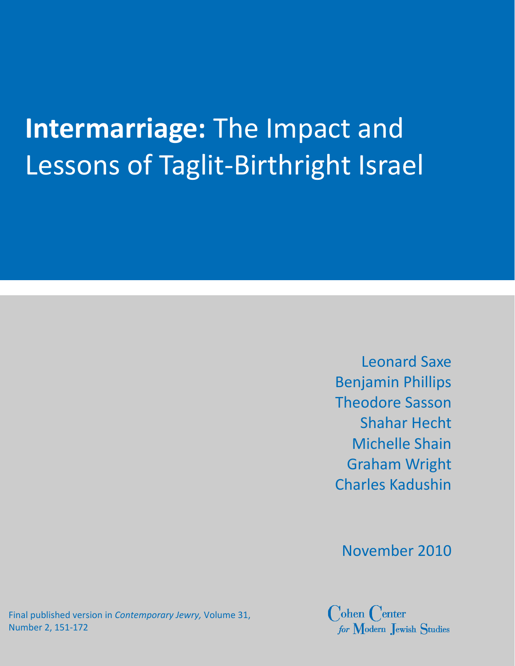# **Intermarriage:** The Impact and Lessons of Taglit‐Birthright Israel

Leonard Saxe Benjamin Phillips Theodore Sasson Shahar Hecht Michelle Shain Graham Wright Charles Kadushin

November 2010

Final published version in *Contemporary Jewry,* Volume 31, Number 2, 151‐172

 $\bigcirc$ ohen  $\bigcirc$ enter for Modern Jewish Studies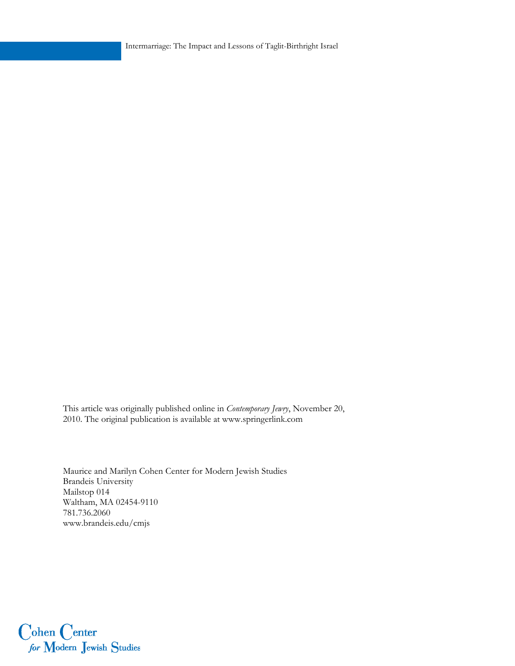Intermarriage: The Impact and Lessons of Taglit-Birthright Israel

This article was originally published online in *Contemporary Jewry*, November 20, 2010. The original publication is available at www.springerlink.com

Maurice and Marilyn Cohen Center for Modern Jewish Studies Brandeis University Mailstop 014 Waltham, MA 02454-9110 781.736.2060 www.brandeis.edu/cmjs

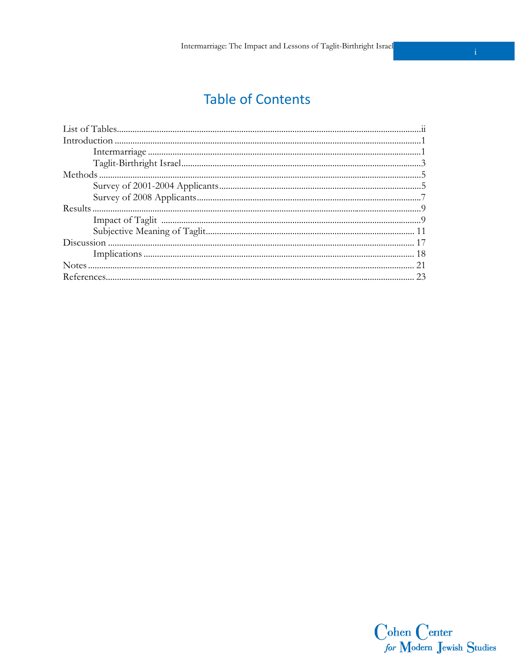# **Table of Contents**

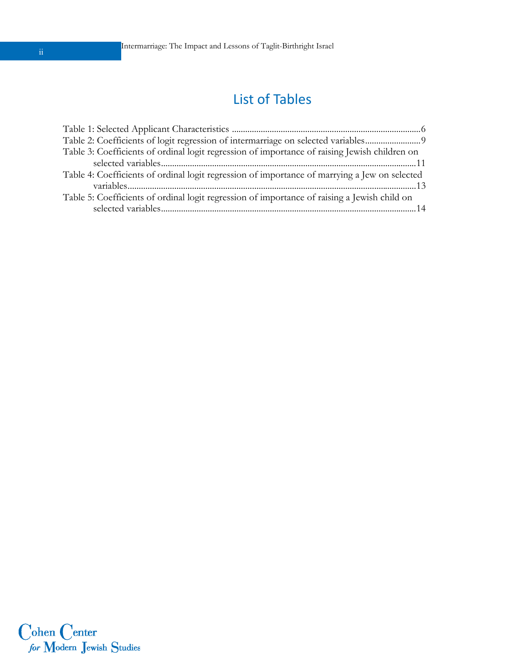## List of Tables

| Table 3: Coefficients of ordinal logit regression of importance of raising Jewish children on |
|-----------------------------------------------------------------------------------------------|
|                                                                                               |
| Table 4: Coefficients of ordinal logit regression of importance of marrying a Jew on selected |
|                                                                                               |
| Table 5: Coefficients of ordinal logit regression of importance of raising a Jewish child on  |
|                                                                                               |

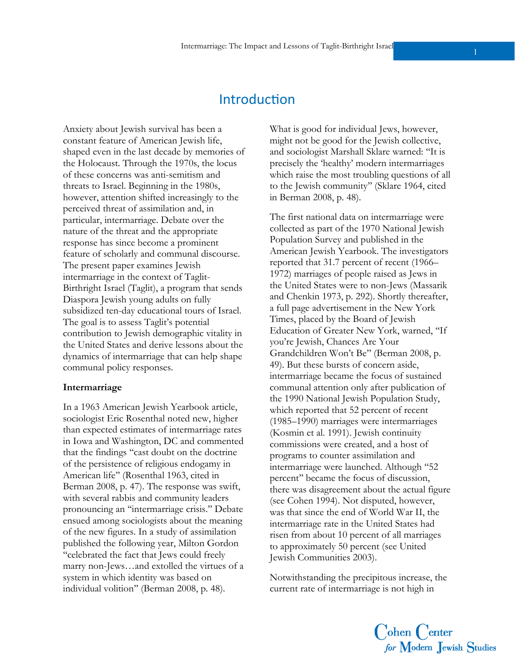## **Introduction**

Anxiety about Jewish survival has been a constant feature of American Jewish life, shaped even in the last decade by memories of the Holocaust. Through the 1970s, the locus of these concerns was anti-semitism and threats to Israel. Beginning in the 1980s, however, attention shifted increasingly to the perceived threat of assimilation and, in particular, intermarriage. Debate over the nature of the threat and the appropriate response has since become a prominent feature of scholarly and communal discourse. The present paper examines Jewish intermarriage in the context of Taglit-Birthright Israel (Taglit), a program that sends Diaspora Jewish young adults on fully subsidized ten-day educational tours of Israel. The goal is to assess Taglit's potential contribution to Jewish demographic vitality in the United States and derive lessons about the dynamics of intermarriage that can help shape communal policy responses.

#### **Intermarriage**

In a 1963 American Jewish Yearbook article, sociologist Eric Rosenthal noted new, higher than expected estimates of intermarriage rates in Iowa and Washington, DC and commented that the findings ''cast doubt on the doctrine of the persistence of religious endogamy in American life'' (Rosenthal 1963, cited in Berman 2008, p. 47). The response was swift, with several rabbis and community leaders pronouncing an ''intermarriage crisis.'' Debate ensued among sociologists about the meaning of the new figures. In a study of assimilation published the following year, Milton Gordon ''celebrated the fact that Jews could freely marry non-Jews…and extolled the virtues of a system in which identity was based on individual volition'' (Berman 2008, p. 48).

What is good for individual Jews, however, might not be good for the Jewish collective, and sociologist Marshall Sklare warned: ''It is precisely the 'healthy' modern intermarriages which raise the most troubling questions of all to the Jewish community'' (Sklare 1964, cited in Berman 2008, p. 48).

The first national data on intermarriage were collected as part of the 1970 National Jewish Population Survey and published in the American Jewish Yearbook. The investigators reported that 31.7 percent of recent (1966– 1972) marriages of people raised as Jews in the United States were to non-Jews (Massarik and Chenkin 1973, p. 292). Shortly thereafter, a full page advertisement in the New York Times, placed by the Board of Jewish Education of Greater New York, warned, ''If you're Jewish, Chances Are Your Grandchildren Won't Be'' (Berman 2008, p. 49). But these bursts of concern aside, intermarriage became the focus of sustained communal attention only after publication of the 1990 National Jewish Population Study, which reported that 52 percent of recent (1985–1990) marriages were intermarriages (Kosmin et al. 1991). Jewish continuity commissions were created, and a host of programs to counter assimilation and intermarriage were launched. Although ''52 percent'' became the focus of discussion, there was disagreement about the actual figure (see Cohen 1994). Not disputed, however, was that since the end of World War II, the intermarriage rate in the United States had risen from about 10 percent of all marriages to approximately 50 percent (see United Jewish Communities 2003).

Notwithstanding the precipitous increase, the current rate of intermarriage is not high in

Cohen Center<br>for Modern Jewish Studies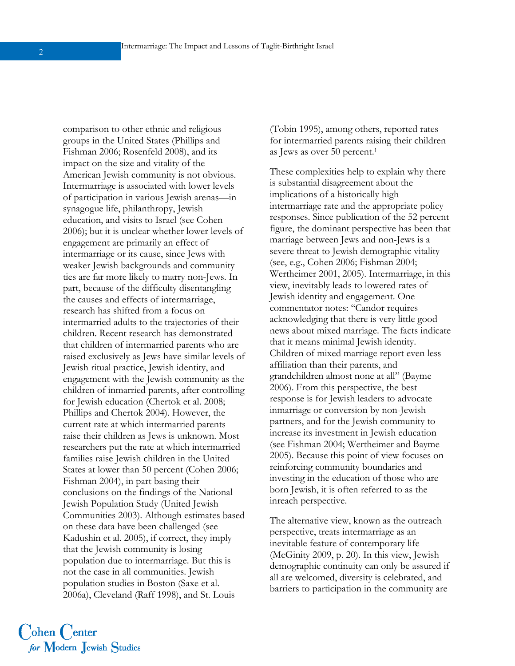comparison to other ethnic and religious groups in the United States (Phillips and Fishman 2006; Rosenfeld 2008), and its impact on the size and vitality of the American Jewish community is not obvious. Intermarriage is associated with lower levels of participation in various Jewish arenas—in synagogue life, philanthropy, Jewish education, and visits to Israel (see Cohen 2006); but it is unclear whether lower levels of engagement are primarily an effect of intermarriage or its cause, since Jews with weaker Jewish backgrounds and community ties are far more likely to marry non-Jews. In part, because of the difficulty disentangling the causes and effects of intermarriage, research has shifted from a focus on intermarried adults to the trajectories of their children. Recent research has demonstrated that children of intermarried parents who are raised exclusively as Jews have similar levels of Jewish ritual practice, Jewish identity, and engagement with the Jewish community as the children of inmarried parents, after controlling for Jewish education (Chertok et al. 2008; Phillips and Chertok 2004). However, the current rate at which intermarried parents raise their children as Jews is unknown. Most researchers put the rate at which intermarried families raise Jewish children in the United States at lower than 50 percent (Cohen 2006; Fishman 2004), in part basing their conclusions on the findings of the National Jewish Population Study (United Jewish Communities 2003). Although estimates based on these data have been challenged (see Kadushin et al. 2005), if correct, they imply that the Jewish community is losing population due to intermarriage. But this is not the case in all communities. Jewish population studies in Boston (Saxe et al. 2006a), Cleveland (Raff 1998), and St. Louis

(Tobin 1995), among others, reported rates for intermarried parents raising their children as Jews as over 50 percent.1

These complexities help to explain why there is substantial disagreement about the implications of a historically high intermarriage rate and the appropriate policy responses. Since publication of the 52 percent figure, the dominant perspective has been that marriage between Jews and non-Jews is a severe threat to Jewish demographic vitality (see, e.g., Cohen 2006; Fishman 2004; Wertheimer 2001, 2005). Intermarriage, in this view, inevitably leads to lowered rates of Jewish identity and engagement. One commentator notes: ''Candor requires acknowledging that there is very little good news about mixed marriage. The facts indicate that it means minimal Jewish identity. Children of mixed marriage report even less affiliation than their parents, and grandchildren almost none at all'' (Bayme 2006). From this perspective, the best response is for Jewish leaders to advocate inmarriage or conversion by non-Jewish partners, and for the Jewish community to increase its investment in Jewish education (see Fishman 2004; Wertheimer and Bayme 2005). Because this point of view focuses on reinforcing community boundaries and investing in the education of those who are born Jewish, it is often referred to as the inreach perspective.

The alternative view, known as the outreach perspective, treats intermarriage as an inevitable feature of contemporary life (McGinity 2009, p. 20). In this view, Jewish demographic continuity can only be assured if all are welcomed, diversity is celebrated, and barriers to participation in the community are

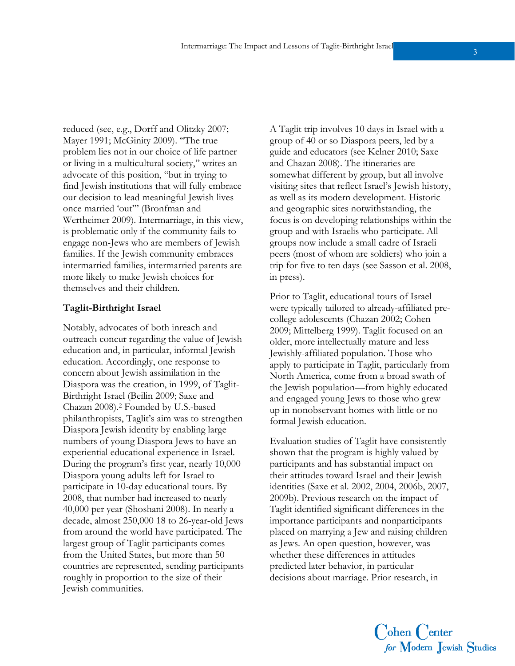reduced (see, e.g., Dorff and Olitzky 2007; Mayer 1991; McGinity 2009). ''The true problem lies not in our choice of life partner or living in a multicultural society,'' writes an advocate of this position, ''but in trying to find Jewish institutions that will fully embrace our decision to lead meaningful Jewish lives once married 'out''' (Bronfman and Wertheimer 2009). Intermarriage, in this view, is problematic only if the community fails to engage non-Jews who are members of Jewish families. If the Jewish community embraces intermarried families, intermarried parents are more likely to make Jewish choices for themselves and their children.

#### **Taglit-Birthright Israel**

Notably, advocates of both inreach and outreach concur regarding the value of Jewish education and, in particular, informal Jewish education. Accordingly, one response to concern about Jewish assimilation in the Diaspora was the creation, in 1999, of Taglit-Birthright Israel (Beilin 2009; Saxe and Chazan 2008).2 Founded by U.S.-based philanthropists, Taglit's aim was to strengthen Diaspora Jewish identity by enabling large numbers of young Diaspora Jews to have an experiential educational experience in Israel. During the program's first year, nearly 10,000 Diaspora young adults left for Israel to participate in 10-day educational tours. By 2008, that number had increased to nearly 40,000 per year (Shoshani 2008). In nearly a decade, almost 250,000 18 to 26-year-old Jews from around the world have participated. The largest group of Taglit participants comes from the United States, but more than 50 countries are represented, sending participants roughly in proportion to the size of their Jewish communities.

A Taglit trip involves 10 days in Israel with a group of 40 or so Diaspora peers, led by a guide and educators (see Kelner 2010; Saxe and Chazan 2008). The itineraries are somewhat different by group, but all involve visiting sites that reflect Israel's Jewish history, as well as its modern development. Historic and geographic sites notwithstanding, the focus is on developing relationships within the group and with Israelis who participate. All groups now include a small cadre of Israeli peers (most of whom are soldiers) who join a trip for five to ten days (see Sasson et al. 2008, in press).

Prior to Taglit, educational tours of Israel were typically tailored to already-affiliated precollege adolescents (Chazan 2002; Cohen 2009; Mittelberg 1999). Taglit focused on an older, more intellectually mature and less Jewishly-affiliated population. Those who apply to participate in Taglit, particularly from North America, come from a broad swath of the Jewish population—from highly educated and engaged young Jews to those who grew up in nonobservant homes with little or no formal Jewish education.

Evaluation studies of Taglit have consistently shown that the program is highly valued by participants and has substantial impact on their attitudes toward Israel and their Jewish identities (Saxe et al. 2002, 2004, 2006b, 2007, 2009b). Previous research on the impact of Taglit identified significant differences in the importance participants and nonparticipants placed on marrying a Jew and raising children as Jews. An open question, however, was whether these differences in attitudes predicted later behavior, in particular decisions about marriage. Prior research, in

Cohen Center<br>for Modern Jewish Studies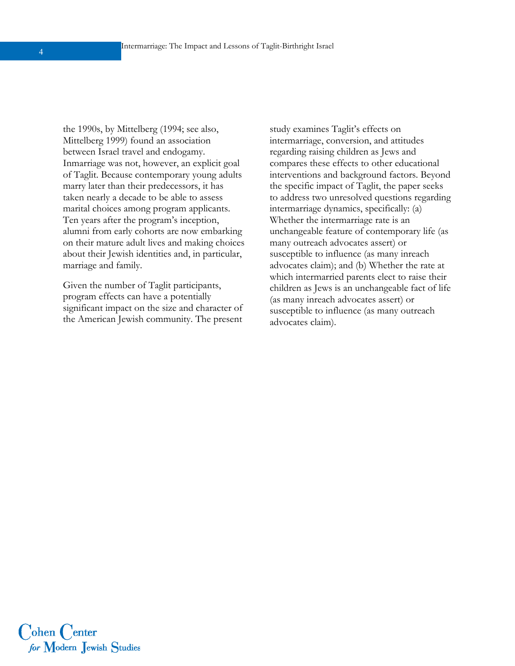the 1990s, by Mittelberg (1994; see also, Mittelberg 1999) found an association between Israel travel and endogamy. Inmarriage was not, however, an explicit goal of Taglit. Because contemporary young adults marry later than their predecessors, it has taken nearly a decade to be able to assess marital choices among program applicants. Ten years after the program's inception, alumni from early cohorts are now embarking on their mature adult lives and making choices about their Jewish identities and, in particular, marriage and family.

Given the number of Taglit participants, program effects can have a potentially significant impact on the size and character of the American Jewish community. The present study examines Taglit's effects on intermarriage, conversion, and attitudes regarding raising children as Jews and compares these effects to other educational interventions and background factors. Beyond the specific impact of Taglit, the paper seeks to address two unresolved questions regarding intermarriage dynamics, specifically: (a) Whether the intermarriage rate is an unchangeable feature of contemporary life (as many outreach advocates assert) or susceptible to influence (as many inreach advocates claim); and (b) Whether the rate at which intermarried parents elect to raise their children as Jews is an unchangeable fact of life (as many inreach advocates assert) or susceptible to influence (as many outreach advocates claim).

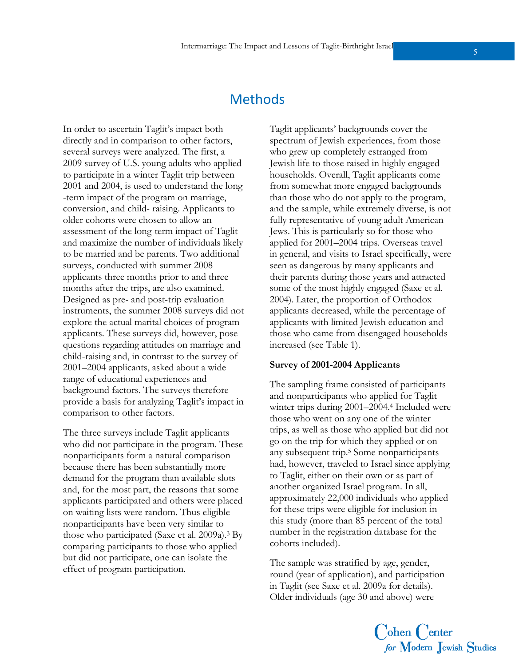## Methods

In order to ascertain Taglit's impact both directly and in comparison to other factors, several surveys were analyzed. The first, a 2009 survey of U.S. young adults who applied to participate in a winter Taglit trip between 2001 and 2004, is used to understand the long -term impact of the program on marriage, conversion, and child- raising. Applicants to older cohorts were chosen to allow an assessment of the long-term impact of Taglit and maximize the number of individuals likely to be married and be parents. Two additional surveys, conducted with summer 2008 applicants three months prior to and three months after the trips, are also examined. Designed as pre- and post-trip evaluation instruments, the summer 2008 surveys did not explore the actual marital choices of program applicants. These surveys did, however, pose questions regarding attitudes on marriage and child-raising and, in contrast to the survey of 2001–2004 applicants, asked about a wide range of educational experiences and background factors. The surveys therefore provide a basis for analyzing Taglit's impact in comparison to other factors.

The three surveys include Taglit applicants who did not participate in the program. These nonparticipants form a natural comparison because there has been substantially more demand for the program than available slots and, for the most part, the reasons that some applicants participated and others were placed on waiting lists were random. Thus eligible nonparticipants have been very similar to those who participated (Saxe et al. 2009a).3 By comparing participants to those who applied but did not participate, one can isolate the effect of program participation.

Taglit applicants' backgrounds cover the spectrum of Jewish experiences, from those who grew up completely estranged from Jewish life to those raised in highly engaged households. Overall, Taglit applicants come from somewhat more engaged backgrounds than those who do not apply to the program, and the sample, while extremely diverse, is not fully representative of young adult American Jews. This is particularly so for those who applied for 2001–2004 trips. Overseas travel in general, and visits to Israel specifically, were seen as dangerous by many applicants and their parents during those years and attracted some of the most highly engaged (Saxe et al. 2004). Later, the proportion of Orthodox applicants decreased, while the percentage of applicants with limited Jewish education and those who came from disengaged households increased (see Table 1).

#### **Survey of 2001-2004 Applicants**

The sampling frame consisted of participants and nonparticipants who applied for Taglit winter trips during 2001–2004.4 Included were those who went on any one of the winter trips, as well as those who applied but did not go on the trip for which they applied or on any subsequent trip.5 Some nonparticipants had, however, traveled to Israel since applying to Taglit, either on their own or as part of another organized Israel program. In all, approximately 22,000 individuals who applied for these trips were eligible for inclusion in this study (more than 85 percent of the total number in the registration database for the cohorts included).

The sample was stratified by age, gender, round (year of application), and participation in Taglit (see Saxe et al. 2009a for details). Older individuals (age 30 and above) were

Cohen Center<br>for Modern Jewish Studies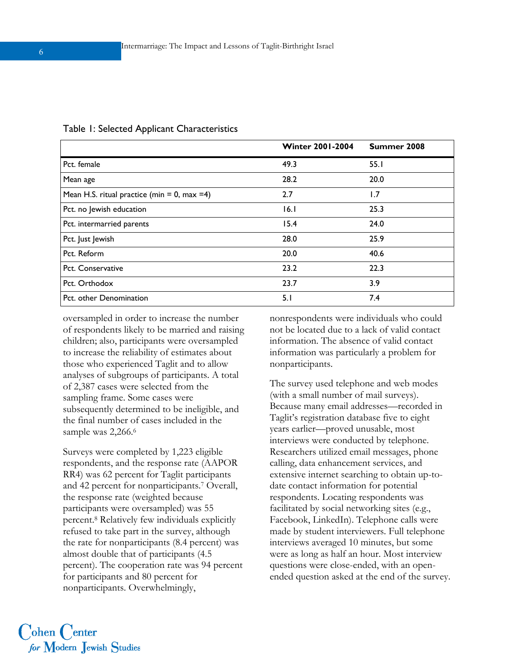|                                              | <b>Winter 2001-2004</b> | Summer 2008 |
|----------------------------------------------|-------------------------|-------------|
| Pct. female                                  | 49.3                    | 55.1        |
| Mean age                                     | 28.2                    | 20.0        |
| Mean H.S. ritual practice (min = 0, max = 4) | 2.7                     | 1.7         |
| Pct. no Jewish education                     | 16.1                    | 25.3        |
| Pct. intermarried parents                    | 15.4                    | 24.0        |
| Pct. Just Jewish                             | 28.0                    | 25.9        |
| Pct. Reform                                  | 20.0                    | 40.6        |
| Pct. Conservative                            | 23.2                    | 22.3        |
| Pct. Orthodox                                | 23.7                    | 3.9         |
| Pct. other Denomination                      | 5.1                     | 7.4         |

#### Table 1: Selected Applicant Characteristics

oversampled in order to increase the number of respondents likely to be married and raising children; also, participants were oversampled to increase the reliability of estimates about those who experienced Taglit and to allow analyses of subgroups of participants. A total of 2,387 cases were selected from the sampling frame. Some cases were subsequently determined to be ineligible, and the final number of cases included in the sample was 2,266.6

Surveys were completed by 1,223 eligible respondents, and the response rate (AAPOR RR4) was 62 percent for Taglit participants and 42 percent for nonparticipants.7 Overall, the response rate (weighted because participants were oversampled) was 55 percent.8 Relatively few individuals explicitly refused to take part in the survey, although the rate for nonparticipants (8.4 percent) was almost double that of participants (4.5 percent). The cooperation rate was 94 percent for participants and 80 percent for nonparticipants. Overwhelmingly,

nonrespondents were individuals who could not be located due to a lack of valid contact information. The absence of valid contact information was particularly a problem for nonparticipants.

The survey used telephone and web modes (with a small number of mail surveys). Because many email addresses—recorded in Taglit's registration database five to eight years earlier—proved unusable, most interviews were conducted by telephone. Researchers utilized email messages, phone calling, data enhancement services, and extensive internet searching to obtain up-todate contact information for potential respondents. Locating respondents was facilitated by social networking sites (e.g., Facebook, LinkedIn). Telephone calls were made by student interviewers. Full telephone interviews averaged 10 minutes, but some were as long as half an hour. Most interview questions were close-ended, with an openended question asked at the end of the survey.

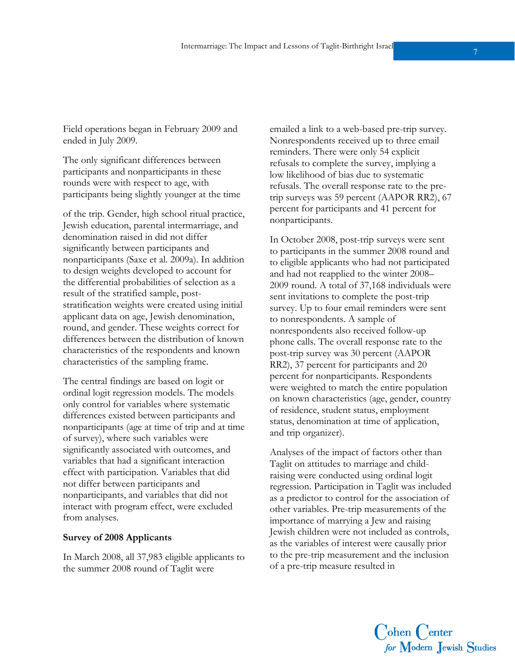Field operations began in February 2009 and ended in July 2009.

The only significant differences between participants and nonparticipants in these rounds were with respect to age, with participants being slightly younger at the time

of the trip. Gender, high school ritual practice, Jewish education, parental intermarriage, and denomination raised in did not differ significantly between participants and nonparticipants (Saxe et al. 2009a). In addition to design weights developed to account for the differential probabilities of selection as a result of the stratified sample, poststratification weights were created using initial applicant data on age, Jewish denomination, round, and gender. These weights correct for differences between the distribution of known characteristics of the respondents and known characteristics of the sampling frame.

The central findings are based on logit or ordinal logit regression models. The models only control for variables where systematic differences existed between participants and nonparticipants (age at time of trip and at time of survey), where such variables were significantly associated with outcomes, and variables that had a significant interaction effect with participation. Variables that did not differ between participants and nonparticipants, and variables that did not interact with program effect, were excluded from analyses.

#### **Survey of 2008 Applicants**

In March 2008, all 37,983 eligible applicants to the summer 2008 round of Taglit were

emailed a link to a web-based pre-trip survey. Nonrespondents received up to three email reminders. There were only 54 explicit refusals to complete the survey, implying a low likelihood of bias due to systematic refusals. The overall response rate to the pretrip surveys was 59 percent (AAPOR RR2), 67 percent for participants and 41 percent for nonparticipants.

In October 2008, post-trip surveys were sent to participants in the summer 2008 round and to eligible applicants who had not participated and had not reapplied to the winter 2008– 2009 round. A total of 37,168 individuals were sent invitations to complete the post-trip survey. Up to four email reminders were sent to nonrespondents. A sample of nonrespondents also received follow-up phone calls. The overall response rate to the post-trip survey was 30 percent (AAPOR RR2), 37 percent for participants and 20 percent for nonparticipants. Respondents were weighted to match the entire population on known characteristics (age, gender, country of residence, student status, employment status, denomination at time of application, and trip organizer).

Analyses of the impact of factors other than Taglit on attitudes to marriage and childraising were conducted using ordinal logit regression. Participation in Taglit was included as a predictor to control for the association of other variables. Pre-trip measurements of the importance of marrying a Jew and raising Jewish children were not included as controls, as the variables of interest were causally prior to the pre-trip measurement and the inclusion of a pre-trip measure resulted in

Cohen Center<br>for Modern Jewish Studies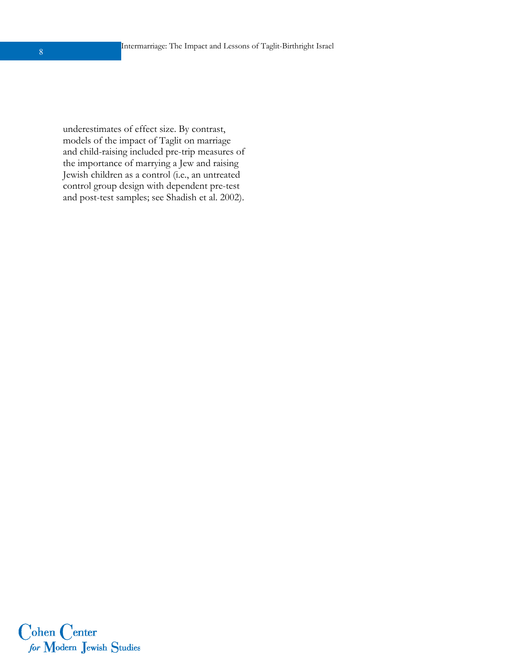underestimates of effect size. By contrast, models of the impact of Taglit on marriage and child-raising included pre-trip measures of the importance of marrying a Jew and raising Jewish children as a control (i.e., an untreated control group design with dependent pre-test and post-test samples; see Shadish et al. 2002).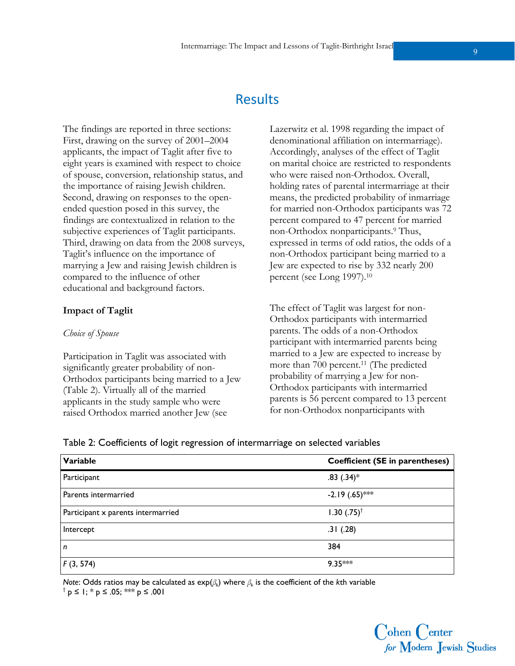## **Results**

The findings are reported in three sections: First, drawing on the survey of 2001–2004 applicants, the impact of Taglit after five to eight years is examined with respect to choice of spouse, conversion, relationship status, and the importance of raising Jewish children. Second, drawing on responses to the openended question posed in this survey, the findings are contextualized in relation to the subjective experiences of Taglit participants. Third, drawing on data from the 2008 surveys, Taglit's influence on the importance of marrying a Jew and raising Jewish children is compared to the influence of other educational and background factors.

#### **Impact of Taglit**

#### *Choice of Spouse*

Participation in Taglit was associated with significantly greater probability of non-Orthodox participants being married to a Jew (Table 2). Virtually all of the married applicants in the study sample who were raised Orthodox married another Jew (see

Lazerwitz et al. 1998 regarding the impact of denominational affiliation on intermarriage). Accordingly, analyses of the effect of Taglit on marital choice are restricted to respondents who were raised non-Orthodox. Overall, holding rates of parental intermarriage at their means, the predicted probability of inmarriage for married non-Orthodox participants was 72 percent compared to 47 percent for married non-Orthodox nonparticipants.9 Thus, expressed in terms of odd ratios, the odds of a non-Orthodox participant being married to a Jew are expected to rise by 332 nearly 200 percent (see Long 1997).10

The effect of Taglit was largest for non-Orthodox participants with intermarried parents. The odds of a non-Orthodox participant with intermarried parents being married to a Jew are expected to increase by more than 700 percent.<sup>11</sup> (The predicted probability of marrying a Jew for non-Orthodox participants with intermarried parents is 56 percent compared to 13 percent for non-Orthodox nonparticipants with

| Table 2: Coefficients of logit regression of intermarriage on selected variables |  |  |
|----------------------------------------------------------------------------------|--|--|
|                                                                                  |  |  |

| Variable                           | Coefficient (SE in parentheses) |
|------------------------------------|---------------------------------|
| Participant                        | $.83(.34)$ *                    |
| Parents intermarried               | $-2.19(.65)$ ***                |
| Participant x parents intermarried | $1.30$ $(.75)^{\dagger}$        |
| Intercept                          | .31(.28)                        |
| n                                  | 384                             |
| F(3, 574)                          | $9.35***$                       |

*Note*: Odds ratios may be calculated as exp(*βk*) where *βk* is the coefficient of the *k*th variable <sup>†</sup> p ≤ 1; \* p ≤ .05; \*\*\* p ≤ .001

> Cohen Center for Modern Jewish Studies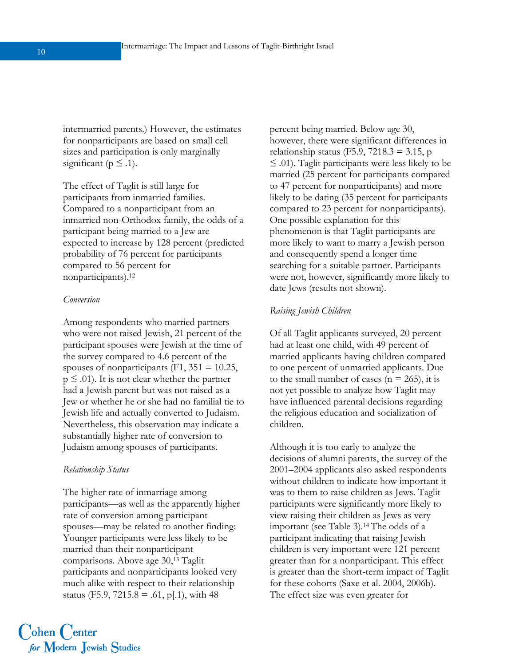intermarried parents.) However, the estimates for nonparticipants are based on small cell sizes and participation is only marginally significant ( $p \leq .1$ ).

The effect of Taglit is still large for participants from inmarried families. Compared to a nonparticipant from an inmarried non-Orthodox family, the odds of a participant being married to a Jew are expected to increase by 128 percent (predicted probability of 76 percent for participants compared to 56 percent for nonparticipants).12

#### *Conversion*

Among respondents who married partners who were not raised Jewish, 21 percent of the participant spouses were Jewish at the time of the survey compared to 4.6 percent of the spouses of nonparticipants (F1,  $351 = 10.25$ ,  $p \leq 0.01$ . It is not clear whether the partner had a Jewish parent but was not raised as a Jew or whether he or she had no familial tie to Jewish life and actually converted to Judaism. Nevertheless, this observation may indicate a substantially higher rate of conversion to Judaism among spouses of participants.

#### *Relationship Status*

The higher rate of inmarriage among participants—as well as the apparently higher rate of conversion among participant spouses—may be related to another finding: Younger participants were less likely to be married than their nonparticipant comparisons. Above age 30,13 Taglit participants and nonparticipants looked very much alike with respect to their relationship status (F5.9, 7215.8 = .61, p[.1), with 48

percent being married. Below age 30, however, there were significant differences in relationship status (F5.9, 7218.3 = 3.15, p ≤ .01). Taglit participants were less likely to be married (25 percent for participants compared to 47 percent for nonparticipants) and more likely to be dating (35 percent for participants compared to 23 percent for nonparticipants). One possible explanation for this phenomenon is that Taglit participants are more likely to want to marry a Jewish person and consequently spend a longer time searching for a suitable partner. Participants were not, however, significantly more likely to date Jews (results not shown).

#### *Raising Jewish Children*

Of all Taglit applicants surveyed, 20 percent had at least one child, with 49 percent of married applicants having children compared to one percent of unmarried applicants. Due to the small number of cases ( $n = 265$ ), it is not yet possible to analyze how Taglit may have influenced parental decisions regarding the religious education and socialization of children.

Although it is too early to analyze the decisions of alumni parents, the survey of the 2001–2004 applicants also asked respondents without children to indicate how important it was to them to raise children as Jews. Taglit participants were significantly more likely to view raising their children as Jews as very important (see Table 3).14 The odds of a participant indicating that raising Jewish children is very important were 121 percent greater than for a nonparticipant. This effect is greater than the short-term impact of Taglit for these cohorts (Saxe et al. 2004, 2006b). The effect size was even greater for



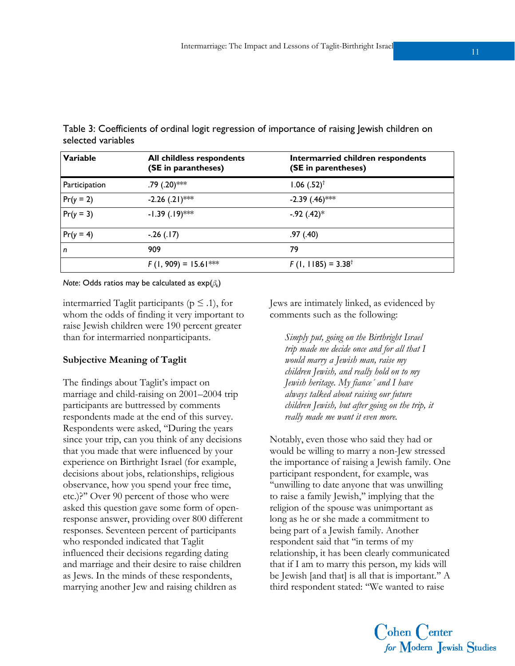| Variable      | All childless respondents<br>(SE in parantheses) | Intermarried children respondents<br>(SE in parentheses) |
|---------------|--------------------------------------------------|----------------------------------------------------------|
| Participation | $.79(.20)$ ***                                   | $1.06$ $(.52)^{†}$                                       |
| $Pr(y = 2)$   | $-2.26$ (.21)***                                 | $-2.39$ (.46)***                                         |
| $Pr(y = 3)$   | $-1.39(.19)$ ***                                 | $-.92(.42)*$                                             |
| $Pr(y = 4)$   | $-.26(.17)$                                      | .97(0.40)                                                |
| n             | 909                                              | 79                                                       |
|               | $F(1, 909) = 15.61***$                           | $F(1, 1185) = 3.38^{\dagger}$                            |

Table 3: Coefficients of ordinal logit regression of importance of raising Jewish children on selected variables

*Note*: Odds ratios may be calculated as exp(*βk*)

intermarried Taglit participants ( $p \leq .1$ ), for whom the odds of finding it very important to raise Jewish children were 190 percent greater than for intermarried nonparticipants.

#### **Subjective Meaning of Taglit**

The findings about Taglit's impact on marriage and child-raising on 2001–2004 trip participants are buttressed by comments respondents made at the end of this survey. Respondents were asked, ''During the years since your trip, can you think of any decisions that you made that were influenced by your experience on Birthright Israel (for example, decisions about jobs, relationships, religious observance, how you spend your free time, etc.)?'' Over 90 percent of those who were asked this question gave some form of openresponse answer, providing over 800 different responses. Seventeen percent of participants who responded indicated that Taglit influenced their decisions regarding dating and marriage and their desire to raise children as Jews. In the minds of these respondents, marrying another Jew and raising children as

Jews are intimately linked, as evidenced by comments such as the following:

*Simply put, going on the Birthright Israel trip made me decide once and for all that I would marry a Jewish man, raise my children Jewish, and really hold on to my Jewish heritage. My fiance´ and I have always talked about raising our future children Jewish, but after going on the trip, it really made me want it even more.* 

Notably, even those who said they had or would be willing to marry a non-Jew stressed the importance of raising a Jewish family. One participant respondent, for example, was ''unwilling to date anyone that was unwilling to raise a family Jewish,'' implying that the religion of the spouse was unimportant as long as he or she made a commitment to being part of a Jewish family. Another respondent said that ''in terms of my relationship, it has been clearly communicated that if I am to marry this person, my kids will be Jewish [and that] is all that is important.'' A third respondent stated: ''We wanted to raise

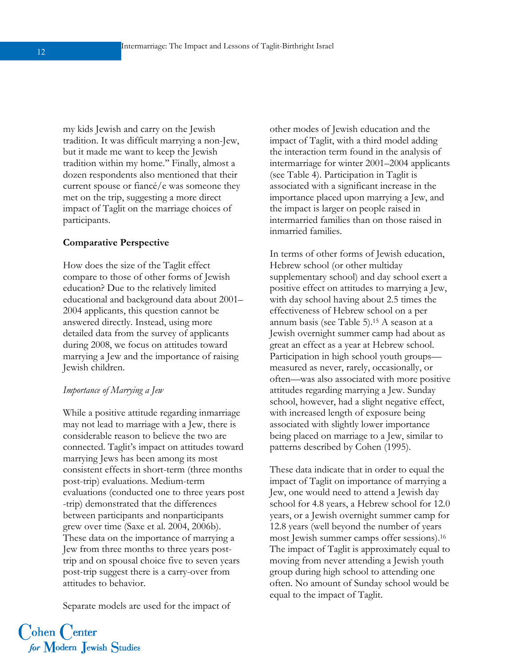my kids Jewish and carry on the Jewish tradition. It was difficult marrying a non-Jew, but it made me want to keep the Jewish tradition within my home.'' Finally, almost a dozen respondents also mentioned that their current spouse or fiancé/e was someone they met on the trip, suggesting a more direct impact of Taglit on the marriage choices of participants.

#### **Comparative Perspective**

How does the size of the Taglit effect compare to those of other forms of Jewish education? Due to the relatively limited educational and background data about 2001– 2004 applicants, this question cannot be answered directly. Instead, using more detailed data from the survey of applicants during 2008, we focus on attitudes toward marrying a Jew and the importance of raising Jewish children.

#### *Importance of Marrying a Jew*

While a positive attitude regarding inmarriage may not lead to marriage with a Jew, there is considerable reason to believe the two are connected. Taglit's impact on attitudes toward marrying Jews has been among its most consistent effects in short-term (three months post-trip) evaluations. Medium-term evaluations (conducted one to three years post -trip) demonstrated that the differences between participants and nonparticipants grew over time (Saxe et al. 2004, 2006b). These data on the importance of marrying a Jew from three months to three years posttrip and on spousal choice five to seven years post-trip suggest there is a carry-over from attitudes to behavior.

Separate models are used for the impact of

other modes of Jewish education and the impact of Taglit, with a third model adding the interaction term found in the analysis of intermarriage for winter 2001–2004 applicants (see Table 4). Participation in Taglit is associated with a significant increase in the importance placed upon marrying a Jew, and the impact is larger on people raised in intermarried families than on those raised in inmarried families.

In terms of other forms of Jewish education, Hebrew school (or other multiday supplementary school) and day school exert a positive effect on attitudes to marrying a Jew, with day school having about 2.5 times the effectiveness of Hebrew school on a per annum basis (see Table 5).15 A season at a Jewish overnight summer camp had about as great an effect as a year at Hebrew school. Participation in high school youth groups measured as never, rarely, occasionally, or often—was also associated with more positive attitudes regarding marrying a Jew. Sunday school, however, had a slight negative effect, with increased length of exposure being associated with slightly lower importance being placed on marriage to a Jew, similar to patterns described by Cohen (1995).

These data indicate that in order to equal the impact of Taglit on importance of marrying a Jew, one would need to attend a Jewish day school for 4.8 years, a Hebrew school for 12.0 years, or a Jewish overnight summer camp for 12.8 years (well beyond the number of years most Jewish summer camps offer sessions).16 The impact of Taglit is approximately equal to moving from never attending a Jewish youth group during high school to attending one often. No amount of Sunday school would be equal to the impact of Taglit.

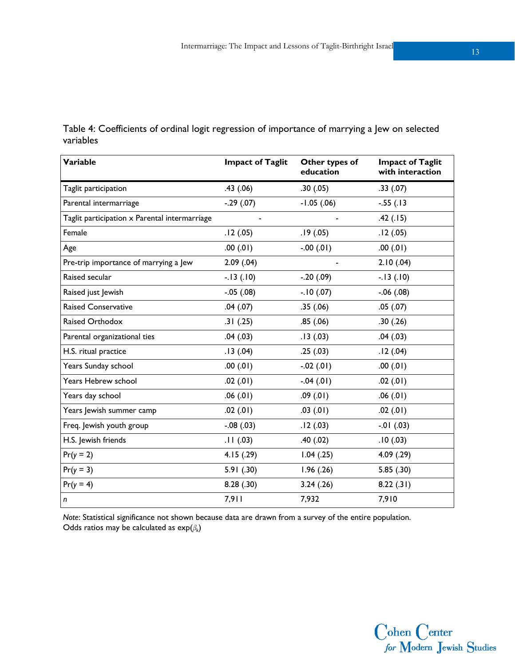| Variable                                      | <b>Impact of Taglit</b> | Other types of<br>education | <b>Impact of Taglit</b><br>with interaction |
|-----------------------------------------------|-------------------------|-----------------------------|---------------------------------------------|
| Taglit participation                          | .43(.06)                | .30(.05)                    | .33(.07)                                    |
| Parental intermarriage                        | $-.29(.07)$             | $-1.05$ (.06)               | $-.55(.13)$                                 |
| Taglit participation x Parental intermarriage |                         |                             | .42(.15)                                    |
| Female                                        | .12(.05)                | .19(0.05)                   | .12(.05)                                    |
| Age                                           | .00(01)                 | $-0.00(01)$                 | .00(0.01)                                   |
| Pre-trip importance of marrying a Jew         | 2.09(.04)               |                             | 2.10(.04)                                   |
| Raised secular                                | $-13(10)$               | $-.20(.09)$                 | $-13(10)$                                   |
| Raised just Jewish                            | $-.05(.08)$             | $-.10(0.07)$                | $-.06(.08)$                                 |
| <b>Raised Conservative</b>                    | .04(.07)                | .35(.06)                    | .05(.07)                                    |
| Raised Orthodox                               | .31(.25)                | .85(.06)                    | .30(.26)                                    |
| Parental organizational ties                  | .04(.03)                | .13(0.03)                   | .04(.03)                                    |
| H.S. ritual practice                          | .13(0.04)               | .25(.03)                    | .12(.04)                                    |
| Years Sunday school                           | .00(0.01)               | $-0.02(01)$                 | .00(01)                                     |
| Years Hebrew school                           | .02(.01)                | $-0.04(01)$                 | .02(.01)                                    |
| Years day school                              | .06(.01)                | .09(.01)                    | .06(.01)                                    |
| Years Jewish summer camp                      | .02(.01)                | .03(01)                     | .02(.01)                                    |
| Freq. Jewish youth group                      | $-.08(.03)$             | .12(.03)                    | $-01$ (.03)                                 |
| H.S. Jewish friends                           | .11(.03)                | .40(.02)                    | .10(0.03)                                   |
| $Pr(y = 2)$                                   | 4.15(.29)               | $1.04$ $(.25)$              | 4.09(0.29)                                  |
| $Pr(y = 3)$                                   | 5.91(.30)               | 1.96(.26)                   | 5.85(.30)                                   |
| $Pr(y = 4)$                                   | 8.28(.30)               | 3.24(.26)                   | 8.22(.31)                                   |
| n                                             | 7,911                   | 7,932                       | 7,910                                       |

Table 4: Coefficients of ordinal logit regression of importance of marrying a Jew on selected variables

*Note*: Statistical significance not shown because data are drawn from a survey of the entire population. Odds ratios may be calculated as exp(*βk*)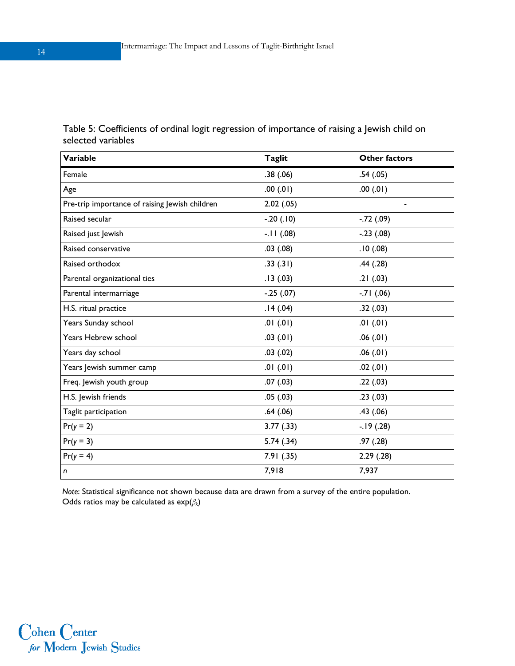| <b>Variable</b>                                | <b>Taglit</b> | <b>Other factors</b>         |
|------------------------------------------------|---------------|------------------------------|
| Female                                         | .38(.06)      | .54(.05)                     |
| Age                                            | .00(01)       | .00(0.01)                    |
| Pre-trip importance of raising Jewish children | 2.02(.05)     | $\qquad \qquad \blacksquare$ |
| Raised secular                                 | $-.20(.10)$   | $-.72(.09)$                  |
| Raised just Jewish                             | $-11(.08)$    | $-.23(.08)$                  |
| Raised conservative                            | .03(.08)      | .10(0.08)                    |
| Raised orthodox                                | .33(.31)      | .44(.28)                     |
| Parental organizational ties                   | .13(0.03)     | .21(.03)                     |
| Parental intermarriage                         | $-.25(.07)$   | $-71(06)$                    |
| H.S. ritual practice                           | .14(.04)      | .32(.03)                     |
| Years Sunday school                            | .01(.01)      | .01(.01)                     |
| Years Hebrew school                            | .03(.01)      | .06(.01)                     |
| Years day school                               | .03(.02)      | .06(.01)                     |
| Years Jewish summer camp                       | .01(.01)      | .02(.01)                     |
| Freq. Jewish youth group                       | .07(0.03)     | .22(.03)                     |
| H.S. Jewish friends                            | .05(.03)      | .23(.03)                     |
| Taglit participation                           | .64(.06)      | .43(.06)                     |
| $Pr(y = 2)$                                    | 3.77(0.33)    | $-.19(0.28)$                 |
| $Pr(y = 3)$                                    | 5.74(.34)     | .97(.28)                     |
| $Pr(y = 4)$                                    | 7.91(.35)     | 2.29(0.28)                   |
| n                                              | 7,918         | 7,937                        |

Table 5: Coefficients of ordinal logit regression of importance of raising a Jewish child on selected variables

*Note*: Statistical significance not shown because data are drawn from a survey of the entire population. Odds ratios may be calculated as exp(*βk*)

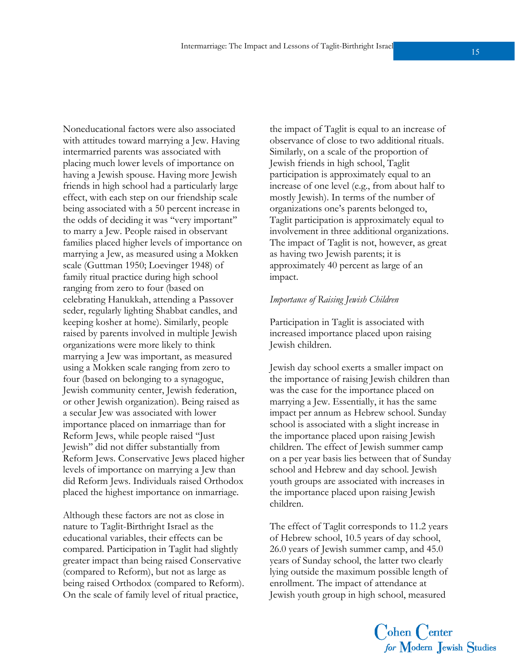Noneducational factors were also associated with attitudes toward marrying a Jew. Having intermarried parents was associated with placing much lower levels of importance on having a Jewish spouse. Having more Jewish friends in high school had a particularly large effect, with each step on our friendship scale being associated with a 50 percent increase in the odds of deciding it was ''very important'' to marry a Jew. People raised in observant families placed higher levels of importance on marrying a Jew, as measured using a Mokken scale (Guttman 1950; Loevinger 1948) of family ritual practice during high school ranging from zero to four (based on celebrating Hanukkah, attending a Passover seder, regularly lighting Shabbat candles, and keeping kosher at home). Similarly, people raised by parents involved in multiple Jewish organizations were more likely to think marrying a Jew was important, as measured using a Mokken scale ranging from zero to four (based on belonging to a synagogue, Jewish community center, Jewish federation, or other Jewish organization). Being raised as a secular Jew was associated with lower importance placed on inmarriage than for Reform Jews, while people raised ''Just Jewish'' did not differ substantially from Reform Jews. Conservative Jews placed higher levels of importance on marrying a Jew than did Reform Jews. Individuals raised Orthodox placed the highest importance on inmarriage.

Although these factors are not as close in nature to Taglit-Birthright Israel as the educational variables, their effects can be compared. Participation in Taglit had slightly greater impact than being raised Conservative (compared to Reform), but not as large as being raised Orthodox (compared to Reform). On the scale of family level of ritual practice,

the impact of Taglit is equal to an increase of observance of close to two additional rituals. Similarly, on a scale of the proportion of Jewish friends in high school, Taglit participation is approximately equal to an increase of one level (e.g., from about half to mostly Jewish). In terms of the number of organizations one's parents belonged to, Taglit participation is approximately equal to involvement in three additional organizations. The impact of Taglit is not, however, as great as having two Jewish parents; it is approximately 40 percent as large of an impact.

#### *Importance of Raising Jewish Children*

Participation in Taglit is associated with increased importance placed upon raising Jewish children.

Jewish day school exerts a smaller impact on the importance of raising Jewish children than was the case for the importance placed on marrying a Jew. Essentially, it has the same impact per annum as Hebrew school. Sunday school is associated with a slight increase in the importance placed upon raising Jewish children. The effect of Jewish summer camp on a per year basis lies between that of Sunday school and Hebrew and day school. Jewish youth groups are associated with increases in the importance placed upon raising Jewish children.

The effect of Taglit corresponds to 11.2 years of Hebrew school, 10.5 years of day school, 26.0 years of Jewish summer camp, and 45.0 years of Sunday school, the latter two clearly lying outside the maximum possible length of enrollment. The impact of attendance at Jewish youth group in high school, measured

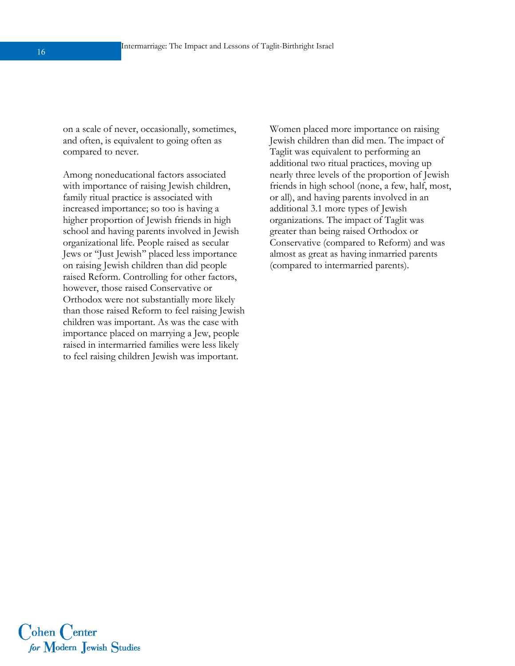on a scale of never, occasionally, sometimes, and often, is equivalent to going often as compared to never.

Among noneducational factors associated with importance of raising Jewish children, family ritual practice is associated with increased importance; so too is having a higher proportion of Jewish friends in high school and having parents involved in Jewish organizational life. People raised as secular Jews or ''Just Jewish'' placed less importance on raising Jewish children than did people raised Reform. Controlling for other factors, however, those raised Conservative or Orthodox were not substantially more likely than those raised Reform to feel raising Jewish children was important. As was the case with importance placed on marrying a Jew, people raised in intermarried families were less likely to feel raising children Jewish was important.

Women placed more importance on raising Jewish children than did men. The impact of Taglit was equivalent to performing an additional two ritual practices, moving up nearly three levels of the proportion of Jewish friends in high school (none, a few, half, most, or all), and having parents involved in an additional 3.1 more types of Jewish organizations. The impact of Taglit was greater than being raised Orthodox or Conservative (compared to Reform) and was almost as great as having inmarried parents (compared to intermarried parents).

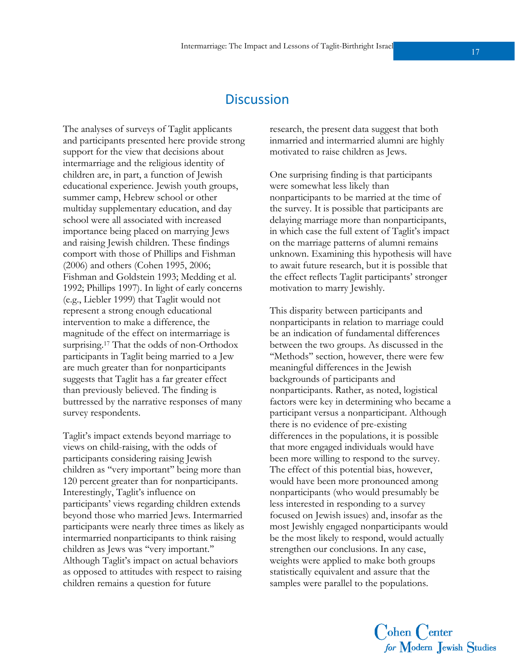### **Discussion**

The analyses of surveys of Taglit applicants and participants presented here provide strong support for the view that decisions about intermarriage and the religious identity of children are, in part, a function of Jewish educational experience. Jewish youth groups, summer camp, Hebrew school or other multiday supplementary education, and day school were all associated with increased importance being placed on marrying Jews and raising Jewish children. These findings comport with those of Phillips and Fishman (2006) and others (Cohen 1995, 2006; Fishman and Goldstein 1993; Medding et al. 1992; Phillips 1997). In light of early concerns (e.g., Liebler 1999) that Taglit would not represent a strong enough educational intervention to make a difference, the magnitude of the effect on intermarriage is surprising.<sup>17</sup> That the odds of non-Orthodox participants in Taglit being married to a Jew are much greater than for nonparticipants suggests that Taglit has a far greater effect than previously believed. The finding is buttressed by the narrative responses of many survey respondents.

Taglit's impact extends beyond marriage to views on child-raising, with the odds of participants considering raising Jewish children as ''very important'' being more than 120 percent greater than for nonparticipants. Interestingly, Taglit's influence on participants' views regarding children extends beyond those who married Jews. Intermarried participants were nearly three times as likely as intermarried nonparticipants to think raising children as Jews was ''very important.'' Although Taglit's impact on actual behaviors as opposed to attitudes with respect to raising children remains a question for future

research, the present data suggest that both inmarried and intermarried alumni are highly motivated to raise children as Jews.

One surprising finding is that participants were somewhat less likely than nonparticipants to be married at the time of the survey. It is possible that participants are delaying marriage more than nonparticipants, in which case the full extent of Taglit's impact on the marriage patterns of alumni remains unknown. Examining this hypothesis will have to await future research, but it is possible that the effect reflects Taglit participants' stronger motivation to marry Jewishly.

This disparity between participants and nonparticipants in relation to marriage could be an indication of fundamental differences between the two groups. As discussed in the ''Methods'' section, however, there were few meaningful differences in the Jewish backgrounds of participants and nonparticipants. Rather, as noted, logistical factors were key in determining who became a participant versus a nonparticipant. Although there is no evidence of pre-existing differences in the populations, it is possible that more engaged individuals would have been more willing to respond to the survey. The effect of this potential bias, however, would have been more pronounced among nonparticipants (who would presumably be less interested in responding to a survey focused on Jewish issues) and, insofar as the most Jewishly engaged nonparticipants would be the most likely to respond, would actually strengthen our conclusions. In any case, weights were applied to make both groups statistically equivalent and assure that the samples were parallel to the populations.

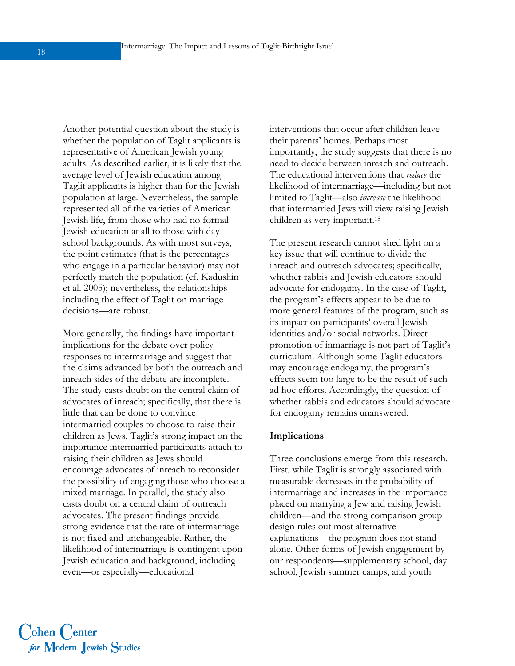Another potential question about the study is whether the population of Taglit applicants is representative of American Jewish young adults. As described earlier, it is likely that the average level of Jewish education among Taglit applicants is higher than for the Jewish population at large. Nevertheless, the sample represented all of the varieties of American Jewish life, from those who had no formal Jewish education at all to those with day school backgrounds. As with most surveys, the point estimates (that is the percentages who engage in a particular behavior) may not perfectly match the population (cf. Kadushin et al. 2005); nevertheless, the relationships including the effect of Taglit on marriage decisions—are robust.

More generally, the findings have important implications for the debate over policy responses to intermarriage and suggest that the claims advanced by both the outreach and inreach sides of the debate are incomplete. The study casts doubt on the central claim of advocates of inreach; specifically, that there is little that can be done to convince intermarried couples to choose to raise their children as Jews. Taglit's strong impact on the importance intermarried participants attach to raising their children as Jews should encourage advocates of inreach to reconsider the possibility of engaging those who choose a mixed marriage. In parallel, the study also casts doubt on a central claim of outreach advocates. The present findings provide strong evidence that the rate of intermarriage is not fixed and unchangeable. Rather, the likelihood of intermarriage is contingent upon Jewish education and background, including even—or especially—educational

interventions that occur after children leave their parents' homes. Perhaps most importantly, the study suggests that there is no need to decide between inreach and outreach. The educational interventions that *reduce* the likelihood of intermarriage—including but not limited to Taglit—also *increase* the likelihood that intermarried Jews will view raising Jewish children as very important.18

The present research cannot shed light on a key issue that will continue to divide the inreach and outreach advocates; specifically, whether rabbis and Jewish educators should advocate for endogamy. In the case of Taglit, the program's effects appear to be due to more general features of the program, such as its impact on participants' overall Jewish identities and/or social networks. Direct promotion of inmarriage is not part of Taglit's curriculum. Although some Taglit educators may encourage endogamy, the program's effects seem too large to be the result of such ad hoc efforts. Accordingly, the question of whether rabbis and educators should advocate for endogamy remains unanswered.

#### **Implications**

Three conclusions emerge from this research. First, while Taglit is strongly associated with measurable decreases in the probability of intermarriage and increases in the importance placed on marrying a Jew and raising Jewish children—and the strong comparison group design rules out most alternative explanations—the program does not stand alone. Other forms of Jewish engagement by our respondents—supplementary school, day school, Jewish summer camps, and youth

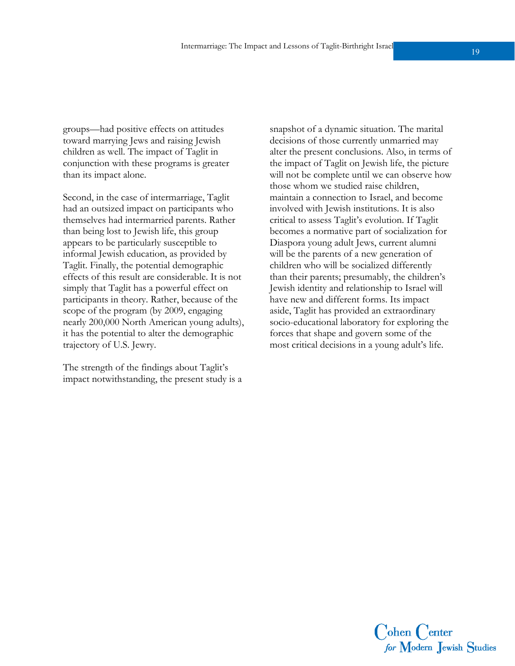groups—had positive effects on attitudes toward marrying Jews and raising Jewish children as well. The impact of Taglit in conjunction with these programs is greater than its impact alone.

Second, in the case of intermarriage, Taglit had an outsized impact on participants who themselves had intermarried parents. Rather than being lost to Jewish life, this group appears to be particularly susceptible to informal Jewish education, as provided by Taglit. Finally, the potential demographic effects of this result are considerable. It is not simply that Taglit has a powerful effect on participants in theory. Rather, because of the scope of the program (by 2009, engaging nearly 200,000 North American young adults), it has the potential to alter the demographic trajectory of U.S. Jewry.

The strength of the findings about Taglit's impact notwithstanding, the present study is a snapshot of a dynamic situation. The marital decisions of those currently unmarried may alter the present conclusions. Also, in terms of the impact of Taglit on Jewish life, the picture will not be complete until we can observe how those whom we studied raise children, maintain a connection to Israel, and become involved with Jewish institutions. It is also critical to assess Taglit's evolution. If Taglit becomes a normative part of socialization for Diaspora young adult Jews, current alumni will be the parents of a new generation of children who will be socialized differently than their parents; presumably, the children's Jewish identity and relationship to Israel will have new and different forms. Its impact aside, Taglit has provided an extraordinary socio-educational laboratory for exploring the forces that shape and govern some of the most critical decisions in a young adult's life.

> Cohen Center for Modern Jewish Studies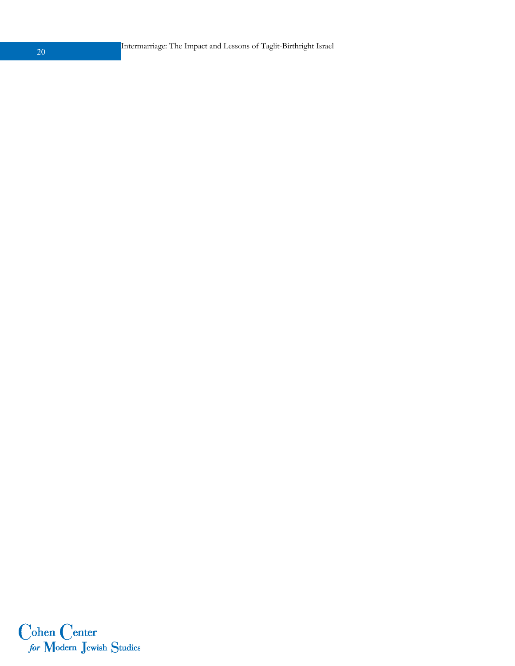Intermarriage: The Impact and Lessons of Taglit-Birthright Israel <sup>20</sup>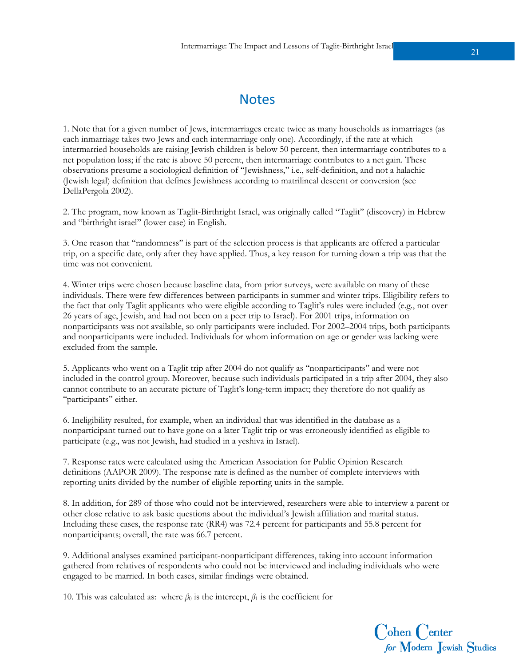1. Note that for a given number of Jews, intermarriages create twice as many households as inmarriages (as each inmarriage takes two Jews and each intermarriage only one). Accordingly, if the rate at which intermarried households are raising Jewish children is below 50 percent, then intermarriage contributes to a net population loss; if the rate is above 50 percent, then intermarriage contributes to a net gain. These observations presume a sociological definition of ''Jewishness,'' i.e., self-definition, and not a halachic (Jewish legal) definition that defines Jewishness according to matrilineal descent or conversion (see DellaPergola 2002).

2. The program, now known as Taglit-Birthright Israel, was originally called ''Taglit'' (discovery) in Hebrew and ''birthright israel'' (lower case) in English.

3. One reason that ''randomness'' is part of the selection process is that applicants are offered a particular trip, on a specific date, only after they have applied. Thus, a key reason for turning down a trip was that the time was not convenient.

4. Winter trips were chosen because baseline data, from prior surveys, were available on many of these individuals. There were few differences between participants in summer and winter trips. Eligibility refers to the fact that only Taglit applicants who were eligible according to Taglit's rules were included (e.g., not over 26 years of age, Jewish, and had not been on a peer trip to Israel). For 2001 trips, information on nonparticipants was not available, so only participants were included. For 2002–2004 trips, both participants and nonparticipants were included. Individuals for whom information on age or gender was lacking were excluded from the sample.

5. Applicants who went on a Taglit trip after 2004 do not qualify as ''nonparticipants'' and were not included in the control group. Moreover, because such individuals participated in a trip after 2004, they also cannot contribute to an accurate picture of Taglit's long-term impact; they therefore do not qualify as "participants" either.

6. Ineligibility resulted, for example, when an individual that was identified in the database as a nonparticipant turned out to have gone on a later Taglit trip or was erroneously identified as eligible to participate (e.g., was not Jewish, had studied in a yeshiva in Israel).

7. Response rates were calculated using the American Association for Public Opinion Research definitions (AAPOR 2009). The response rate is defined as the number of complete interviews with reporting units divided by the number of eligible reporting units in the sample.

8. In addition, for 289 of those who could not be interviewed, researchers were able to interview a parent or other close relative to ask basic questions about the individual's Jewish affiliation and marital status. Including these cases, the response rate (RR4) was 72.4 percent for participants and 55.8 percent for nonparticipants; overall, the rate was 66.7 percent.

9. Additional analyses examined participant-nonparticipant differences, taking into account information gathered from relatives of respondents who could not be interviewed and including individuals who were engaged to be married. In both cases, similar findings were obtained.

10. This was calculated as: where  $\beta_0$  is the intercept,  $\beta_1$  is the coefficient for

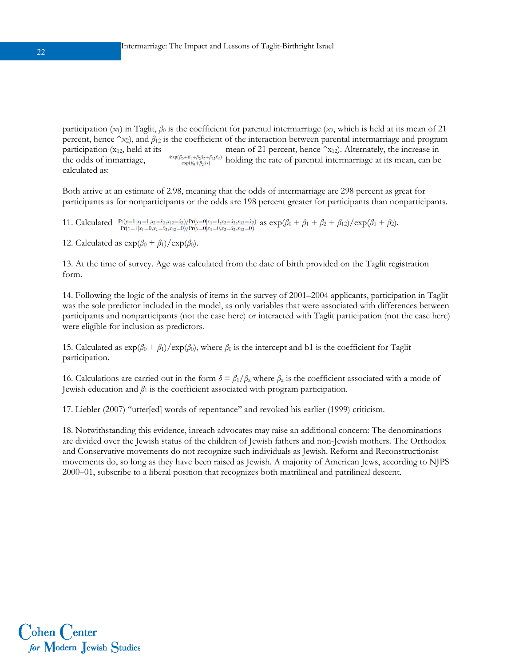participation  $(x_1)$  in Taglit,  $\beta_0$  is the coefficient for parental intermarriage  $(x_2)$ , which is held at its mean of 21 percent, hence  $\hat{}x_2$ ), and  $\beta_{12}$  is the coefficient of the interaction between parental intermarriage and program participation  $(x_{12}$ , held at its mean of 21 percent, hence  $x_{12}$ ). Alternately, the increase in the odds of inmarriage,  $\frac{\exp(\beta_0 + \beta_1 + \beta_2 x_2 + \beta_{12} x_2)}{\exp(\beta_0 + \beta_1 x_2)}$  holding the rate of parental intermarriage at its mean, can be calculated as:

Both arrive at an estimate of 2.98, meaning that the odds of intermarriage are 298 percent as great for participants as for nonparticipants or the odds are 198 percent greater for participants than nonparticipants.

11. Calculated  $\frac{Pr(y=1|x_1=1,x_2=\hat{x}_2,x_{12}=\hat{x}_2)/Pr(y=0|x_1=1,x_2=\hat{x}_2,x_{12}=\hat{x}_2)}{Pr(y=1|x_1=0,x_2=\hat{x}_2,x_{12}=0)/Pr(y=0|x_1=0,x_2=\hat{x}_2,x_{12}=0)}$  as  $exp(\beta_0 + \beta_1 + \beta_2 + \beta_{12})/exp(\beta_0 + \beta_2)$ .

12. Calculated as  $\exp(\beta_0 + \beta_1)/\exp(\beta_0)$ .

13. At the time of survey. Age was calculated from the date of birth provided on the Taglit registration form.

14. Following the logic of the analysis of items in the survey of 2001–2004 applicants, participation in Taglit was the sole predictor included in the model, as only variables that were associated with differences between participants and nonparticipants (not the case here) or interacted with Taglit participation (not the case here) were eligible for inclusion as predictors.

15. Calculated as  $\exp(\beta_0 + \beta_1)/\exp(\beta_0)$ , where  $\beta_0$  is the intercept and b1 is the coefficient for Taglit participation.

16. Calculations are carried out in the form  $\delta = \beta_1/\beta_x$  where  $\beta_x$  is the coefficient associated with a mode of Jewish education and *β*1 is the coefficient associated with program participation.

17. Liebler (2007) ''utter[ed] words of repentance'' and revoked his earlier (1999) criticism.

18. Notwithstanding this evidence, inreach advocates may raise an additional concern: The denominations are divided over the Jewish status of the children of Jewish fathers and non-Jewish mothers. The Orthodox and Conservative movements do not recognize such individuals as Jewish. Reform and Reconstructionist movements do, so long as they have been raised as Jewish. A majority of American Jews, according to NJPS 2000–01, subscribe to a liberal position that recognizes both matrilineal and patrilineal descent.

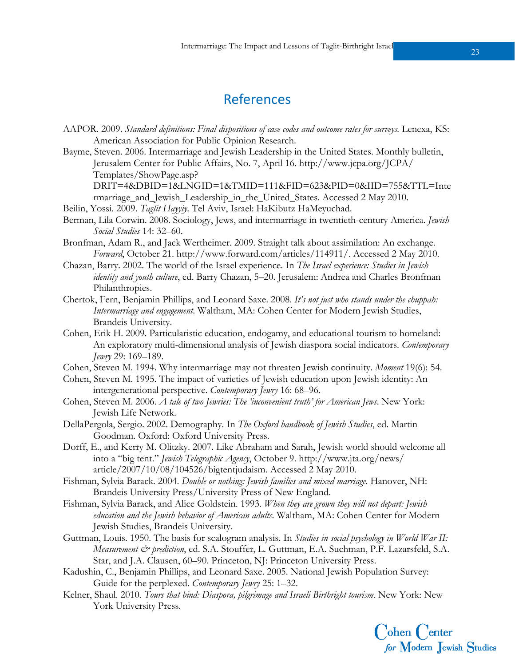## References

- AAPOR. 2009. *Standard definitions: Final dispositions of case codes and outcome rates for surveys.* Lenexa, KS: American Association for Public Opinion Research.
- Bayme, Steven. 2006. Intermarriage and Jewish Leadership in the United States. Monthly bulletin, Jerusalem Center for Public Affairs, No. 7, April 16. http://www.jcpa.org/JCPA/ Templates/ShowPage.asp?
	- DRIT=4&DBID=1&LNGID=1&TMID=111&FID=623&PID=0&IID=755&TTL=Inte rmarriage\_and\_Jewish\_Leadership\_in\_the\_United\_States. Accessed 2 May 2010.
- Beilin, Yossi. 2009. *Taglit Hayyiy*. Tel Aviv, Israel: HaKibutz HaMeyuchad.
- Berman, Lila Corwin. 2008. Sociology, Jews, and intermarriage in twentieth-century America. *Jewish Social Studies* 14: 32–60.
- Bronfman, Adam R., and Jack Wertheimer. 2009. Straight talk about assimilation: An exchange. *Forward*, October 21. http://www.forward.com/articles/114911/. Accessed 2 May 2010.
- Chazan, Barry. 2002. The world of the Israel experience. In *The Israel experience: Studies in Jewish identity and youth culture*, ed. Barry Chazan, 5–20. Jerusalem: Andrea and Charles Bronfman Philanthropies.
- Chertok, Fern, Benjamin Phillips, and Leonard Saxe. 2008. *It's not just who stands under the chuppah: Intermarriage and engagement*. Waltham, MA: Cohen Center for Modern Jewish Studies, Brandeis University.
- Cohen, Erik H. 2009. Particularistic education, endogamy, and educational tourism to homeland: An exploratory multi-dimensional analysis of Jewish diaspora social indicators. *Contemporary Jewry* 29: 169–189.
- Cohen, Steven M. 1994. Why intermarriage may not threaten Jewish continuity. *Moment* 19(6): 54.
- Cohen, Steven M. 1995. The impact of varieties of Jewish education upon Jewish identity: An intergenerational perspective. *Contemporary Jewry* 16: 68–96.
- Cohen, Steven M. 2006. *A tale of two Jewries: The 'inconvenient truth' for American Jews*. New York: Jewish Life Network.
- DellaPergola, Sergio. 2002. Demography. In *The Oxford handbook of Jewish Studies*, ed. Martin Goodman. Oxford: Oxford University Press.
- Dorff, E., and Kerry M. Olitzky. 2007. Like Abraham and Sarah, Jewish world should welcome all into a ''big tent.'' *Jewish Telegraphic Agency*, October 9. http://www.jta.org/news/ article/2007/10/08/104526/bigtentjudaism. Accessed 2 May 2010.
- Fishman, Sylvia Barack. 2004. *Double or nothing: Jewish families and mixed marriage*. Hanover, NH: Brandeis University Press/University Press of New England.
- Fishman, Sylvia Barack, and Alice Goldstein. 1993. *When they are grown they will not depart: Jewish education and the Jewish behavior of American adults*. Waltham, MA: Cohen Center for Modern Jewish Studies, Brandeis University.
- Guttman, Louis. 1950. The basis for scalogram analysis. In *Studies in social psychology in World War II: Measurement & prediction*, ed. S.A. Stouffer, L. Guttman, E.A. Suchman, P.F. Lazarsfeld, S.A. Star, and J.A. Clausen, 60–90. Princeton, NJ: Princeton University Press.
- Kadushin, C., Benjamin Phillips, and Leonard Saxe. 2005. National Jewish Population Survey: Guide for the perplexed. *Contemporary Jewry* 25: 1–32.
- Kelner, Shaul. 2010. *Tours that bind: Diaspora, pilgrimage and Israeli Birthright tourism*. New York: New York University Press.

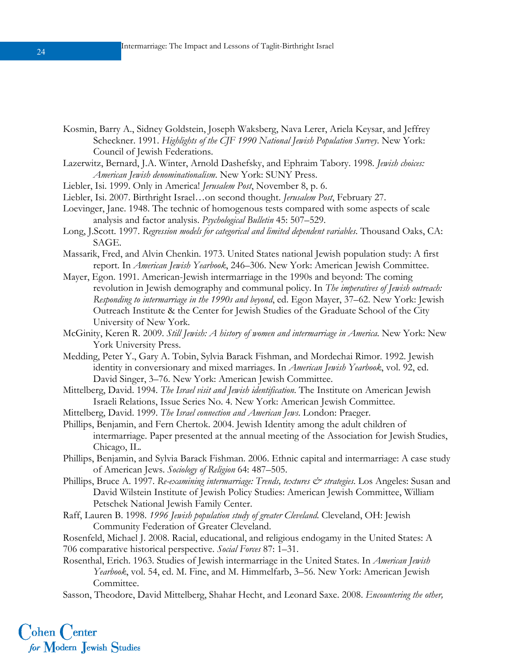- Kosmin, Barry A., Sidney Goldstein, Joseph Waksberg, Nava Lerer, Ariela Keysar, and Jeffrey Scheckner. 1991. *Highlights of the CJF 1990 National Jewish Population Survey*. New York: Council of Jewish Federations.
- Lazerwitz, Bernard, J.A. Winter, Arnold Dashefsky, and Ephraim Tabory. 1998. *Jewish choices: American Jewish denominationalism*. New York: SUNY Press.
- Liebler, Isi. 1999. Only in America! *Jerusalem Post*, November 8, p. 6.
- Liebler, Isi. 2007. Birthright Israel…on second thought. *Jerusalem Post*, February 27.
- Loevinger, Jane. 1948. The technic of homogenous tests compared with some aspects of scale analysis and factor analysis. *Psychological Bulletin* 45: 507–529.
- Long, J.Scott. 1997. *Regression models for categorical and limited dependent variables*. Thousand Oaks, CA: SAGE.
- Massarik, Fred, and Alvin Chenkin. 1973. United States national Jewish population study: A first report. In *American Jewish Yearbook*, 246–306. New York: American Jewish Committee.
- Mayer, Egon. 1991. American-Jewish intermarriage in the 1990s and beyond: The coming revolution in Jewish demography and communal policy. In *The imperatives of Jewish outreach: Responding to intermarriage in the 1990s and beyond*, ed. Egon Mayer, 37–62. New York: Jewish Outreach Institute & the Center for Jewish Studies of the Graduate School of the City University of New York.
- McGinity, Keren R. 2009. *Still Jewish: A history of women and intermarriage in America*. New York: New York University Press.
- Medding, Peter Y., Gary A. Tobin, Sylvia Barack Fishman, and Mordechai Rimor. 1992. Jewish identity in conversionary and mixed marriages. In *American Jewish Yearbook*, vol. 92, ed. David Singer, 3–76. New York: American Jewish Committee.
- Mittelberg, David. 1994. *The Israel visit and Jewish identification*. The Institute on American Jewish Israeli Relations, Issue Series No. 4. New York: American Jewish Committee.
- Mittelberg, David. 1999. *The Israel connection and American Jews*. London: Praeger.
- Phillips, Benjamin, and Fern Chertok. 2004. Jewish Identity among the adult children of intermarriage. Paper presented at the annual meeting of the Association for Jewish Studies, Chicago, IL.
- Phillips, Benjamin, and Sylvia Barack Fishman. 2006. Ethnic capital and intermarriage: A case study of American Jews. *Sociology of Religion* 64: 487–505.
- Phillips, Bruce A. 1997. *Re-examining intermarriage: Trends, textures & strategies*. Los Angeles: Susan and David Wilstein Institute of Jewish Policy Studies: American Jewish Committee, William Petschek National Jewish Family Center.
- Raff, Lauren B. 1998. *1996 Jewish population study of greater Cleveland*. Cleveland, OH: Jewish Community Federation of Greater Cleveland.
- Rosenfeld, Michael J. 2008. Racial, educational, and religious endogamy in the United States: A 706 comparative historical perspective. *Social Forces* 87: 1–31.
- Rosenthal, Erich. 1963. Studies of Jewish intermarriage in the United States. In *American Jewish Yearbook*, vol. 54, ed. M. Fine, and M. Himmelfarb, 3–56. New York: American Jewish Committee.
- Sasson, Theodore, David Mittelberg, Shahar Hecht, and Leonard Saxe. 2008. *Encountering the other,*